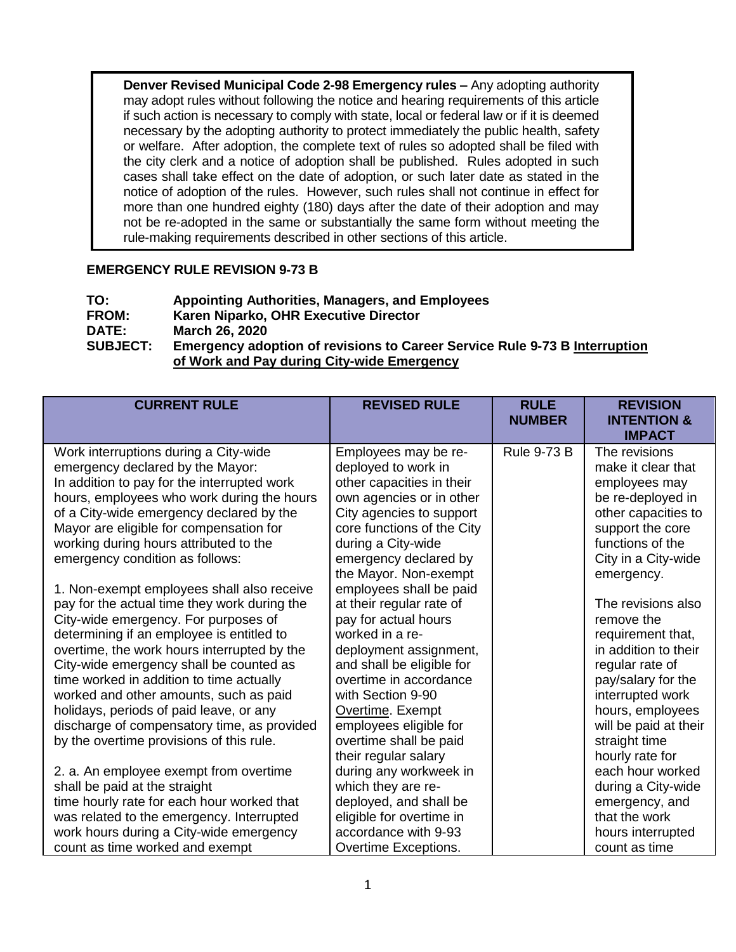**Denver Revised Municipal Code 2-98 Emergency rules –** Any adopting authority may adopt rules without following the notice and hearing requirements of this article if such action is necessary to comply with state, local or federal law or if it is deemed necessary by the adopting authority to protect immediately the public health, safety or welfare. After adoption, the complete text of rules so adopted shall be filed with the city clerk and a notice of adoption shall be published. Rules adopted in such cases shall take effect on the date of adoption, or such later date as stated in the notice of adoption of the rules. However, such rules shall not continue in effect for more than one hundred eighty (180) days after the date of their adoption and may not be re-adopted in the same or substantially the same form without meeting the rule-making requirements described in other sections of this article.

## **EMERGENCY RULE REVISION 9-73 B**

| TO:             | <b>Appointing Authorities, Managers, and Employees</b>                                                                          |
|-----------------|---------------------------------------------------------------------------------------------------------------------------------|
| <b>FROM:</b>    | Karen Niparko, OHR Executive Director                                                                                           |
| <b>DATE:</b>    | <b>March 26, 2020</b>                                                                                                           |
| <b>SUBJECT:</b> | <b>Emergency adoption of revisions to Career Service Rule 9-73 B Interruption</b><br>of Work and Pay during City-wide Emergency |

| <b>CURRENT RULE</b>                          | <b>REVISED RULE</b>        | <b>RULE</b><br><b>NUMBER</b> | <b>REVISION</b><br><b>INTENTION &amp;</b><br><b>IMPACT</b> |
|----------------------------------------------|----------------------------|------------------------------|------------------------------------------------------------|
| Work interruptions during a City-wide        | Employees may be re-       | <b>Rule 9-73 B</b>           | The revisions                                              |
| emergency declared by the Mayor:             | deployed to work in        |                              | make it clear that                                         |
| In addition to pay for the interrupted work  | other capacities in their  |                              | employees may                                              |
| hours, employees who work during the hours   | own agencies or in other   |                              | be re-deployed in                                          |
| of a City-wide emergency declared by the     | City agencies to support   |                              | other capacities to                                        |
| Mayor are eligible for compensation for      | core functions of the City |                              | support the core                                           |
| working during hours attributed to the       | during a City-wide         |                              | functions of the                                           |
| emergency condition as follows:              | emergency declared by      |                              | City in a City-wide                                        |
|                                              | the Mayor. Non-exempt      |                              | emergency.                                                 |
| 1. Non-exempt employees shall also receive   | employees shall be paid    |                              |                                                            |
| pay for the actual time they work during the | at their regular rate of   |                              | The revisions also                                         |
| City-wide emergency. For purposes of         | pay for actual hours       |                              | remove the                                                 |
| determining if an employee is entitled to    | worked in a re-            |                              | requirement that,                                          |
| overtime, the work hours interrupted by the  | deployment assignment,     |                              | in addition to their                                       |
| City-wide emergency shall be counted as      | and shall be eligible for  |                              | regular rate of                                            |
| time worked in addition to time actually     | overtime in accordance     |                              | pay/salary for the                                         |
| worked and other amounts, such as paid       | with Section 9-90          |                              | interrupted work                                           |
| holidays, periods of paid leave, or any      | Overtime. Exempt           |                              | hours, employees                                           |
| discharge of compensatory time, as provided  | employees eligible for     |                              | will be paid at their                                      |
| by the overtime provisions of this rule.     | overtime shall be paid     |                              | straight time                                              |
|                                              | their regular salary       |                              | hourly rate for                                            |
| 2. a. An employee exempt from overtime       | during any workweek in     |                              | each hour worked                                           |
| shall be paid at the straight                | which they are re-         |                              | during a City-wide                                         |
| time hourly rate for each hour worked that   | deployed, and shall be     |                              | emergency, and                                             |
| was related to the emergency. Interrupted    | eligible for overtime in   |                              | that the work                                              |
| work hours during a City-wide emergency      | accordance with 9-93       |                              | hours interrupted                                          |
| count as time worked and exempt              | Overtime Exceptions.       |                              | count as time                                              |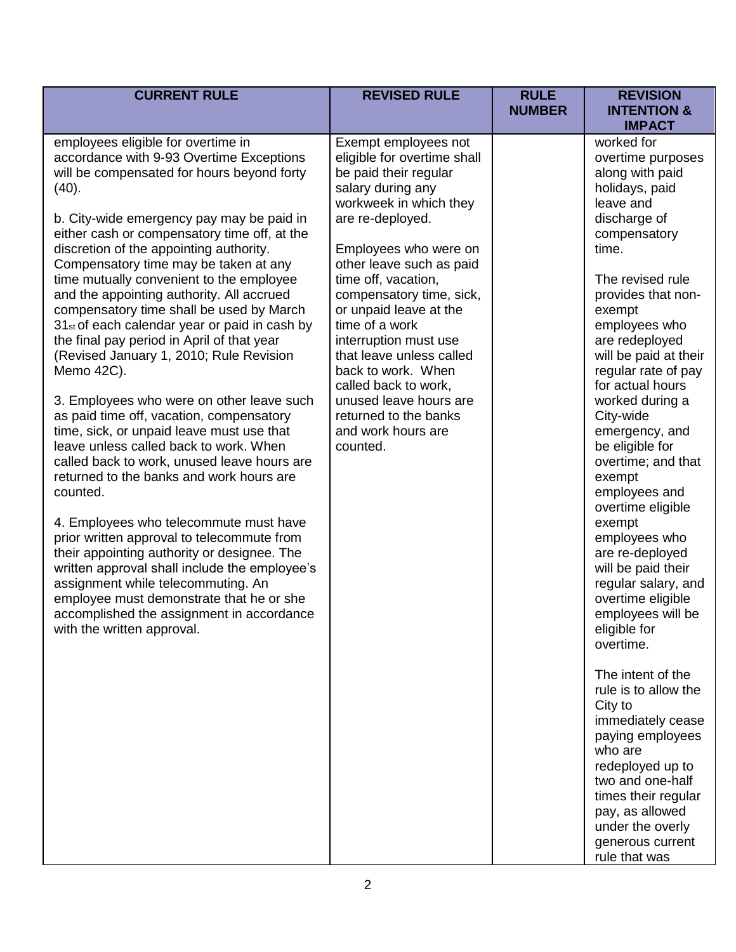| <b>CURRENT RULE</b>                                                                                                                                                                                                                                                                                                                                                                                                                                                                                                                                                                                                                                                                                                                                                                                                                                                                                                                                                                                                                                                                                                                                                                                                                                                         | <b>REVISED RULE</b>                                                                                                                                                                                                                                                                                                                                                                                                                                                                         | <b>RULE</b><br><b>NUMBER</b> | <b>REVISION</b><br><b>INTENTION &amp;</b><br><b>IMPACT</b>                                                                                                                                                                                                                                                                                                                                                                                                                                                                                                                                                                                                                                                                                                                                                                                                |
|-----------------------------------------------------------------------------------------------------------------------------------------------------------------------------------------------------------------------------------------------------------------------------------------------------------------------------------------------------------------------------------------------------------------------------------------------------------------------------------------------------------------------------------------------------------------------------------------------------------------------------------------------------------------------------------------------------------------------------------------------------------------------------------------------------------------------------------------------------------------------------------------------------------------------------------------------------------------------------------------------------------------------------------------------------------------------------------------------------------------------------------------------------------------------------------------------------------------------------------------------------------------------------|---------------------------------------------------------------------------------------------------------------------------------------------------------------------------------------------------------------------------------------------------------------------------------------------------------------------------------------------------------------------------------------------------------------------------------------------------------------------------------------------|------------------------------|-----------------------------------------------------------------------------------------------------------------------------------------------------------------------------------------------------------------------------------------------------------------------------------------------------------------------------------------------------------------------------------------------------------------------------------------------------------------------------------------------------------------------------------------------------------------------------------------------------------------------------------------------------------------------------------------------------------------------------------------------------------------------------------------------------------------------------------------------------------|
| employees eligible for overtime in<br>accordance with 9-93 Overtime Exceptions<br>will be compensated for hours beyond forty<br>(40).<br>b. City-wide emergency pay may be paid in<br>either cash or compensatory time off, at the<br>discretion of the appointing authority.<br>Compensatory time may be taken at any<br>time mutually convenient to the employee<br>and the appointing authority. All accrued<br>compensatory time shall be used by March<br>31 <sub>st</sub> of each calendar year or paid in cash by<br>the final pay period in April of that year<br>(Revised January 1, 2010; Rule Revision<br>Memo 42C).<br>3. Employees who were on other leave such<br>as paid time off, vacation, compensatory<br>time, sick, or unpaid leave must use that<br>leave unless called back to work. When<br>called back to work, unused leave hours are<br>returned to the banks and work hours are<br>counted.<br>4. Employees who telecommute must have<br>prior written approval to telecommute from<br>their appointing authority or designee. The<br>written approval shall include the employee's<br>assignment while telecommuting. An<br>employee must demonstrate that he or she<br>accomplished the assignment in accordance<br>with the written approval. | Exempt employees not<br>eligible for overtime shall<br>be paid their regular<br>salary during any<br>workweek in which they<br>are re-deployed.<br>Employees who were on<br>other leave such as paid<br>time off, vacation,<br>compensatory time, sick,<br>or unpaid leave at the<br>time of a work<br>interruption must use<br>that leave unless called<br>back to work. When<br>called back to work,<br>unused leave hours are<br>returned to the banks<br>and work hours are<br>counted. |                              | worked for<br>overtime purposes<br>along with paid<br>holidays, paid<br>leave and<br>discharge of<br>compensatory<br>time.<br>The revised rule<br>provides that non-<br>exempt<br>employees who<br>are redeployed<br>will be paid at their<br>regular rate of pay<br>for actual hours<br>worked during a<br>City-wide<br>emergency, and<br>be eligible for<br>overtime; and that<br>exempt<br>employees and<br>overtime eligible<br>exempt<br>employees who<br>are re-deployed<br>will be paid their<br>regular salary, and<br>overtime eligible<br>employees will be<br>eligible for<br>overtime.<br>The intent of the<br>rule is to allow the<br>City to<br>immediately cease<br>paying employees<br>who are<br>redeployed up to<br>two and one-half<br>times their regular<br>pay, as allowed<br>under the overly<br>generous current<br>rule that was |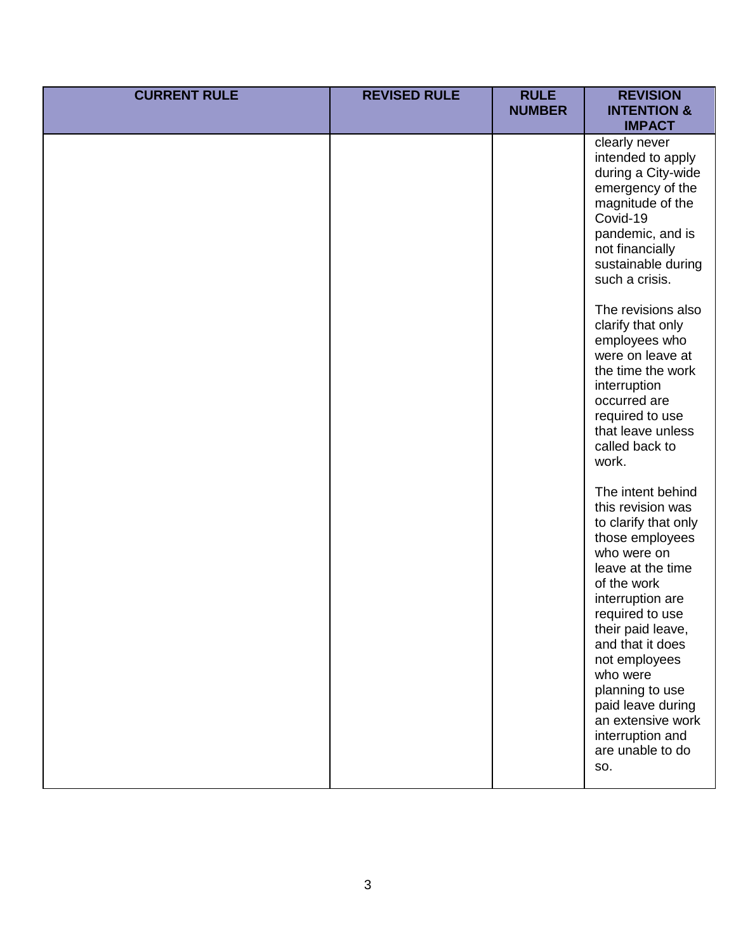| <b>CURRENT RULE</b> | <b>REVISED RULE</b> | <b>RULE</b><br><b>NUMBER</b> | <b>REVISION</b><br><b>INTENTION &amp;</b><br><b>IMPACT</b>                                                                                                                                                                                                                                                                                                                                                                                                                                                                                                                                                                                                                                                                                |
|---------------------|---------------------|------------------------------|-------------------------------------------------------------------------------------------------------------------------------------------------------------------------------------------------------------------------------------------------------------------------------------------------------------------------------------------------------------------------------------------------------------------------------------------------------------------------------------------------------------------------------------------------------------------------------------------------------------------------------------------------------------------------------------------------------------------------------------------|
|                     |                     |                              | clearly never<br>intended to apply<br>during a City-wide<br>emergency of the<br>magnitude of the<br>Covid-19<br>pandemic, and is<br>not financially<br>sustainable during<br>such a crisis.<br>The revisions also<br>clarify that only<br>employees who<br>were on leave at<br>the time the work<br>interruption<br>occurred are<br>required to use<br>that leave unless<br>called back to<br>work.<br>The intent behind<br>this revision was<br>to clarify that only<br>those employees<br>who were on<br>leave at the time<br>of the work<br>interruption are<br>required to use<br>their paid leave,<br>and that it does<br>not employees<br>who were<br>planning to use<br>paid leave during<br>an extensive work<br>interruption and |
|                     |                     |                              | are unable to do<br>SO.                                                                                                                                                                                                                                                                                                                                                                                                                                                                                                                                                                                                                                                                                                                   |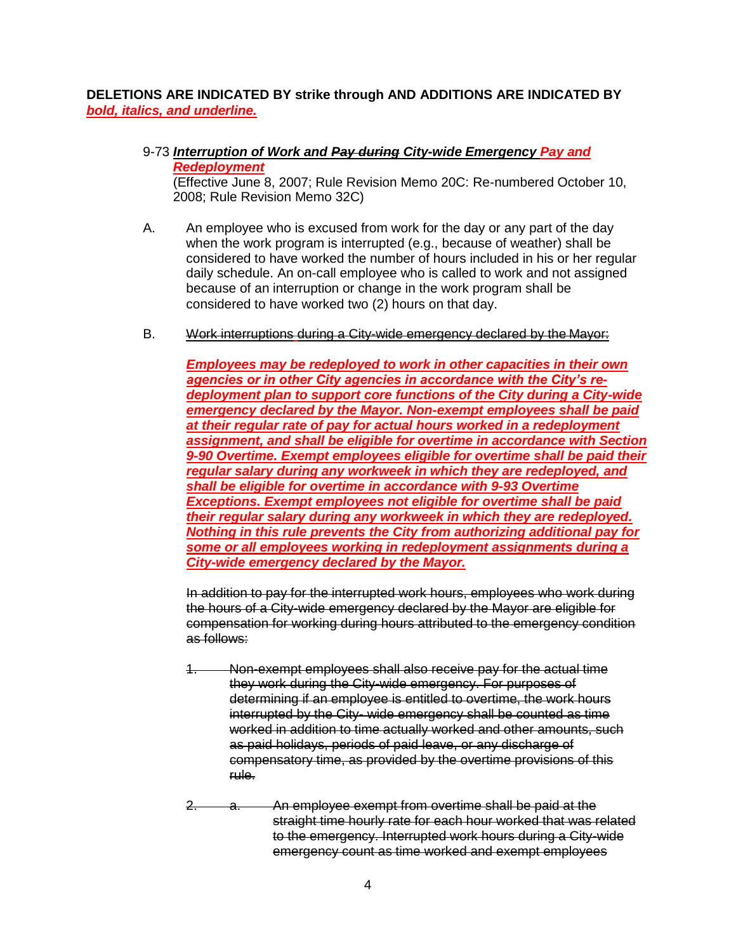## **DELETIONS ARE INDICATED BY strike through AND ADDITIONS ARE INDICATED BY**  *bold, italics, and underline.*

9-73 *Interruption of Work and Pay during City-wide Emergency Pay and Redeployment* 

(Effective June 8, 2007; Rule Revision Memo 20C: Re-numbered October 10, 2008; Rule Revision Memo 32C)

- A. An employee who is excused from work for the day or any part of the day when the work program is interrupted (e.g., because of weather) shall be considered to have worked the number of hours included in his or her regular daily schedule. An on-call employee who is called to work and not assigned because of an interruption or change in the work program shall be considered to have worked two (2) hours on that day.
- B. Work interruptions during a City-wide emergency declared by the Mayor:

*Employees may be redeployed to work in other capacities in their own agencies or in other City agencies in accordance with the City's redeployment plan to support core functions of the City during a City-wide emergency declared by the Mayor. Non-exempt employees shall be paid at their regular rate of pay for actual hours worked in a redeployment assignment, and shall be eligible for overtime in accordance with Section 9-90 Overtime. Exempt employees eligible for overtime shall be paid their regular salary during any workweek in which they are redeployed, and shall be eligible for overtime in accordance with 9-93 Overtime Exceptions. Exempt employees not eligible for overtime shall be paid their regular salary during any workweek in which they are redeployed. Nothing in this rule prevents the City from authorizing additional pay for some or all employees working in redeployment assignments during a City-wide emergency declared by the Mayor.*

In addition to pay for the interrupted work hours, employees who work during the hours of a City-wide emergency declared by the Mayor are eligible for compensation for working during hours attributed to the emergency condition as follows:

- 1. Non-exempt employees shall also receive pay for the actual time they work during the City-wide emergency. For purposes of determining if an employee is entitled to overtime, the work hours interrupted by the City- wide emergency shall be counted as time worked in addition to time actually worked and other amounts, such as paid holidays, periods of paid leave, or any discharge of compensatory time, as provided by the overtime provisions of this rule.
- 2. a. An employee exempt from overtime shall be paid at the straight time hourly rate for each hour worked that was related to the emergency. Interrupted work hours during a City-wide emergency count as time worked and exempt employees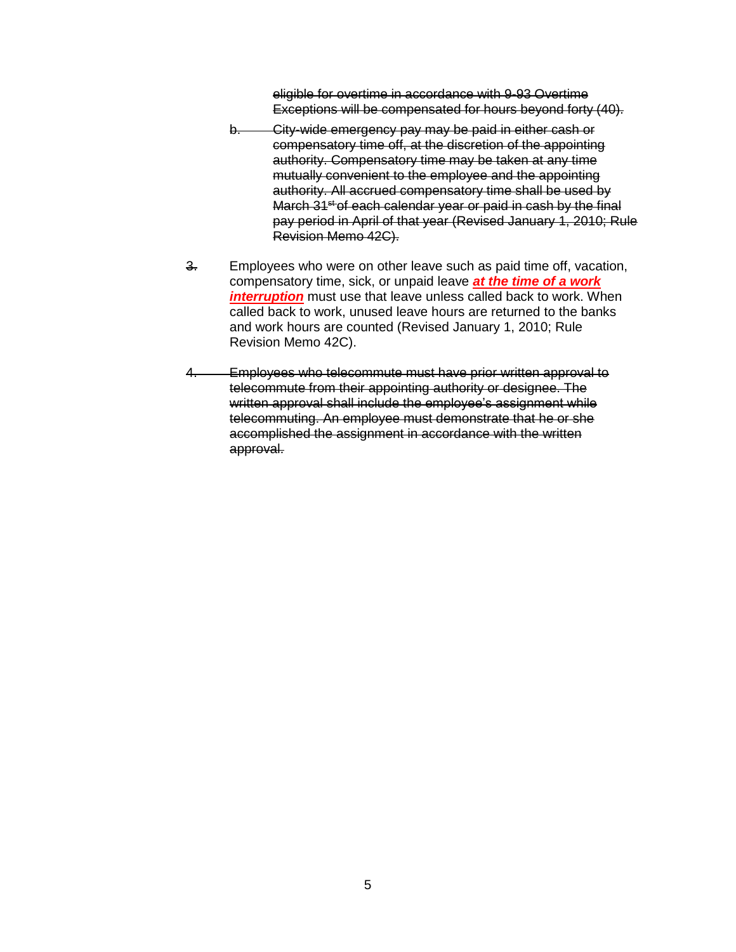eligible for overtime in accordance with 9-93 Overtime Exceptions will be compensated for hours beyond forty (40).

- b. City-wide emergency pay may be paid in either cash or compensatory time off, at the discretion of the appointing authority. Compensatory time may be taken at any time mutually convenient to the employee and the appointing authority. All accrued compensatory time shall be used by March 31<sup>st</sup> of each calendar year or paid in cash by the final pay period in April of that year (Revised January 1, 2010; Rule Revision Memo 42C).
- 3. Employees who were on other leave such as paid time off, vacation, compensatory time, sick, or unpaid leave *at the time of a work interruption* must use that leave unless called back to work. When called back to work, unused leave hours are returned to the banks and work hours are counted (Revised January 1, 2010; Rule Revision Memo 42C).
- 4. Employees who telecommute must have prior written approval to telecommute from their appointing authority or designee. The written approval shall include the employee's assignment while telecommuting. An employee must demonstrate that he or she accomplished the assignment in accordance with the written approval.